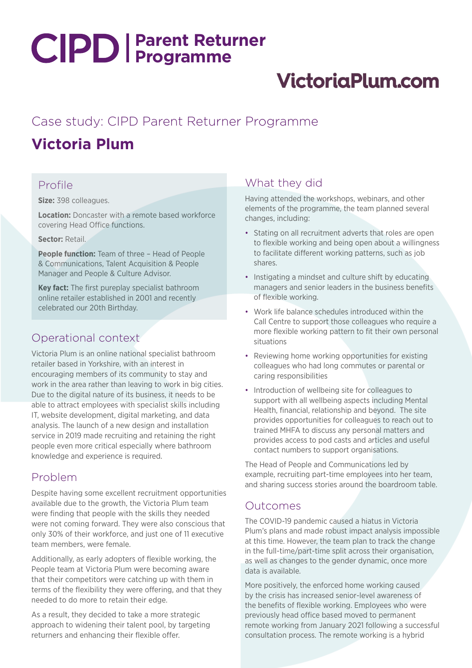# **Parent Returner Programme**

# **VictoriaPlum.com**

# Case study: CIPD Parent Returner Programme

# **Victoria Plum**

### Profile

**Size:** 398 colleagues.

**Location:** Doncaster with a remote based workforce covering Head Office functions.

**Sector:** Retail.

**People function:** Team of three – Head of People & Communications, Talent Acquisition & People Manager and People & Culture Advisor.

**Key fact:** The first pureplay specialist bathroom online retailer established in 2001 and recently celebrated our 20th Birthday.

## Operational context

Victoria Plum is an online national specialist bathroom retailer based in Yorkshire, with an interest in encouraging members of its community to stay and work in the area rather than leaving to work in big cities. Due to the digital nature of its business, it needs to be able to attract employees with specialist skills including IT, website development, digital marketing, and data analysis. The launch of a new design and installation service in 2019 made recruiting and retaining the right people even more critical especially where bathroom knowledge and experience is required.

#### Problem

Despite having some excellent recruitment opportunities available due to the growth, the Victoria Plum team were finding that people with the skills they needed were not coming forward. They were also conscious that only 30% of their workforce, and just one of 11 executive team members, were female.

Additionally, as early adopters of flexible working, the People team at Victoria Plum were becoming aware that their competitors were catching up with them in terms of the flexibility they were offering, and that they needed to do more to retain their edge.

As a result, they decided to take a more strategic approach to widening their talent pool, by targeting returners and enhancing their flexible offer.

# What they did

Having attended the workshops, webinars, and other elements of the programme, the team planned several changes, including:

- Stating on all recruitment adverts that roles are open to flexible working and being open about a willingness to facilitate different working patterns, such as job shares.
- Instigating a mindset and culture shift by educating managers and senior leaders in the business benefits of flexible working.
- Work life balance schedules introduced within the Call Centre to support those colleagues who require a more flexible working pattern to fit their own personal situations
- Reviewing home working opportunities for existing colleagues who had long commutes or parental or caring responsibilities
- Introduction of wellbeing site for colleagues to support with all wellbeing aspects including Mental Health, financial, relationship and beyond. The site provides opportunities for colleagues to reach out to trained MHFA to discuss any personal matters and provides access to pod casts and articles and useful contact numbers to support organisations.

The Head of People and Communications led by example, recruiting part-time employees into her team, and sharing success stories around the boardroom table.

#### Outcomes

The COVID-19 pandemic caused a hiatus in Victoria Plum's plans and made robust impact analysis impossible at this time. However, the team plan to track the change in the full-time/part-time split across their organisation, as well as changes to the gender dynamic, once more data is available.

More positively, the enforced home working caused by the crisis has increased senior-level awareness of the benefits of flexible working. Employees who were previously head office based moved to permanent remote working from January 2021 following a successful consultation process. The remote working is a hybrid